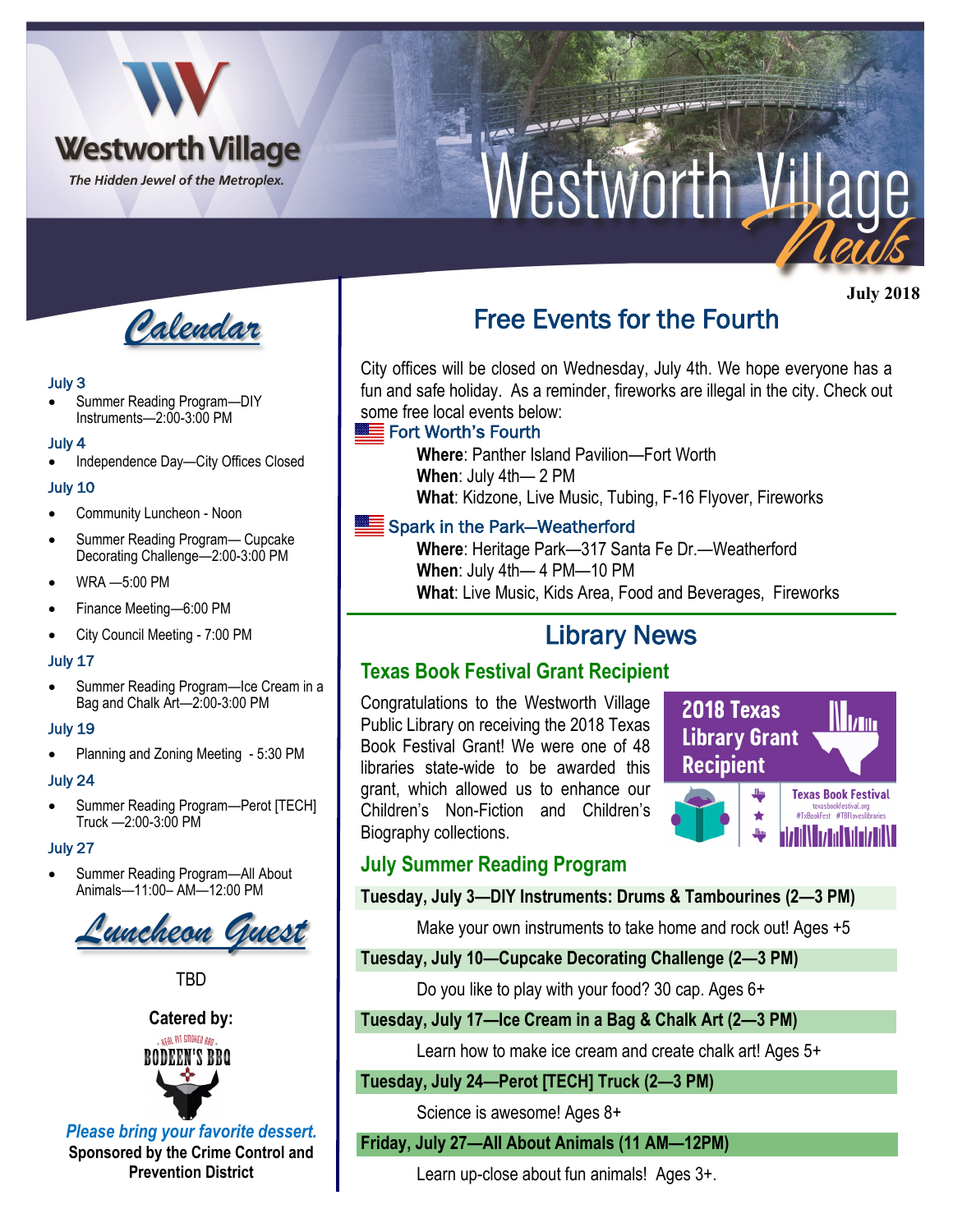

# Nestworth Village



#### July 3

• Summer Reading Program—DIY Instruments—2:00-3:00 PM

#### July 4

• Independence Day—City Offices Closed

#### July 10

- Community Luncheon Noon
- Summer Reading Program— Cupcake Decorating Challenge-2:00-3:00 PM
- WRA —5:00 PM
- Finance Meeting—6:00 PM
- City Council Meeting 7:00 PM

#### July 17

• Summer Reading Program—Ice Cream in a Bag and Chalk Art—2:00-3:00 PM

#### July 19

• Planning and Zoning Meeting - 5:30 PM

#### July 24

Summer Reading Program-Perot [TECH] Truck —2:00-3:00 PM

#### July 27

• Summer Reading Program—All About Animals—11:00– AM—12:00 PM



**TRD** 



*Please bring your favorite dessert.*  **Sponsored by the Crime Control and Prevention District**

# Free Events for the Fourth

City offices will be closed on Wednesday, July 4th. We hope everyone has a fun and safe holiday. As a reminder, fireworks are illegal in the city. Check out some free local events below:

### Fort Worth's Fourth

**Where**: Panther Island Pavilion—Fort Worth **When**: July 4th— 2 PM **What**: Kidzone, Live Music, Tubing, F-16 Flyover, Fireworks

## Spark in the Park-Weatherford

**Where**: Heritage Park—317 Santa Fe Dr.—Weatherford **When**: July 4th— 4 PM—10 PM **What**: Live Music, Kids Area, Food and Beverages, Fireworks

# Library News

## **Texas Book Festival Grant Recipient**

Congratulations to the Westworth Village Public Library on receiving the 2018 Texas Book Festival Grant! We were one of 48 libraries state-wide to be awarded this grant, which allowed us to enhance our Children's Non-Fiction and Children's Biography collections.



# **July Summer Reading Program**

### **Tuesday, July 3—DIY Instruments: Drums & Tambourines (2—3 PM)**

Make your own instruments to take home and rock out! Ages +5

#### **Tuesday, July 10—Cupcake Decorating Challenge (2—3 PM)**

Do you like to play with your food? 30 cap. Ages 6+

## **Tuesday, July 17—Ice Cream in a Bag & Chalk Art (2—3 PM)**

Learn how to make ice cream and create chalk art! Ages 5+

### **Tuesday, July 24—Perot [TECH] Truck (2—3 PM)**

Science is awesome! Ages 8+

### **Friday, July 27—All About Animals (11 AM—12PM)**

Learn up-close about fun animals! Ages 3+.